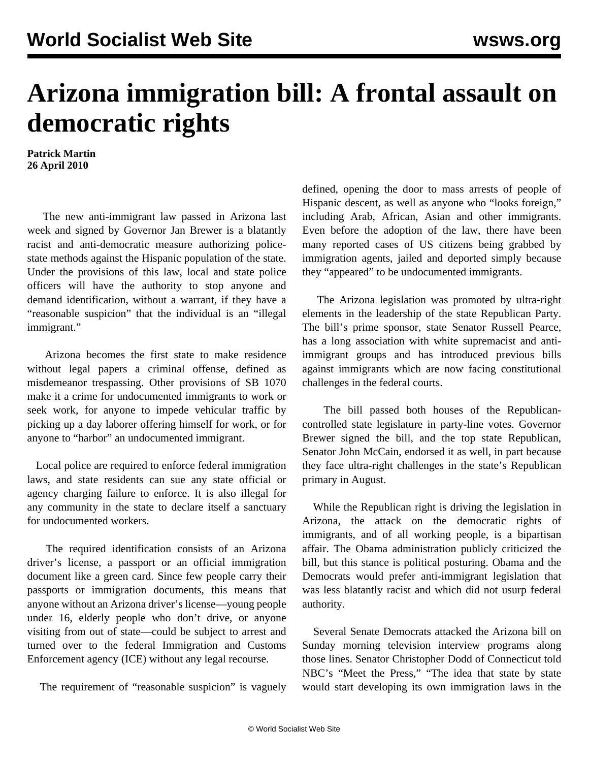## **Arizona immigration bill: A frontal assault on democratic rights**

**Patrick Martin 26 April 2010**

 The new anti-immigrant law passed in Arizona last week and signed by Governor Jan Brewer is a blatantly racist and anti-democratic measure authorizing policestate methods against the Hispanic population of the state. Under the provisions of this law, local and state police officers will have the authority to stop anyone and demand identification, without a warrant, if they have a "reasonable suspicion" that the individual is an "illegal immigrant."

 Arizona becomes the first state to make residence without legal papers a criminal offense, defined as misdemeanor trespassing. Other provisions of SB 1070 make it a crime for undocumented immigrants to work or seek work, for anyone to impede vehicular traffic by picking up a day laborer offering himself for work, or for anyone to "harbor" an undocumented immigrant.

 Local police are required to enforce federal immigration laws, and state residents can sue any state official or agency charging failure to enforce. It is also illegal for any community in the state to declare itself a sanctuary for undocumented workers.

 The required identification consists of an Arizona driver's license, a passport or an official immigration document like a green card. Since few people carry their passports or immigration documents, this means that anyone without an Arizona driver's license—young people under 16, elderly people who don't drive, or anyone visiting from out of state—could be subject to arrest and turned over to the federal Immigration and Customs Enforcement agency (ICE) without any legal recourse.

The requirement of "reasonable suspicion" is vaguely

defined, opening the door to mass arrests of people of Hispanic descent, as well as anyone who "looks foreign," including Arab, African, Asian and other immigrants. Even before the adoption of the law, there have been many reported cases of US citizens being grabbed by immigration agents, jailed and deported simply because they "appeared" to be undocumented immigrants.

 The Arizona legislation was promoted by ultra-right elements in the leadership of the state Republican Party. The bill's prime sponsor, state Senator Russell Pearce, has a long association with white supremacist and antiimmigrant groups and has introduced previous bills against immigrants which are now facing constitutional challenges in the federal courts.

 The bill passed both houses of the Republicancontrolled state legislature in party-line votes. Governor Brewer signed the bill, and the top state Republican, Senator John McCain, endorsed it as well, in part because they face ultra-right challenges in the state's Republican primary in August.

 While the Republican right is driving the legislation in Arizona, the attack on the democratic rights of immigrants, and of all working people, is a bipartisan affair. The Obama administration publicly criticized the bill, but this stance is political posturing. Obama and the Democrats would prefer anti-immigrant legislation that was less blatantly racist and which did not usurp federal authority.

 Several Senate Democrats attacked the Arizona bill on Sunday morning television interview programs along those lines. Senator Christopher Dodd of Connecticut told NBC's "Meet the Press," "The idea that state by state would start developing its own immigration laws in the